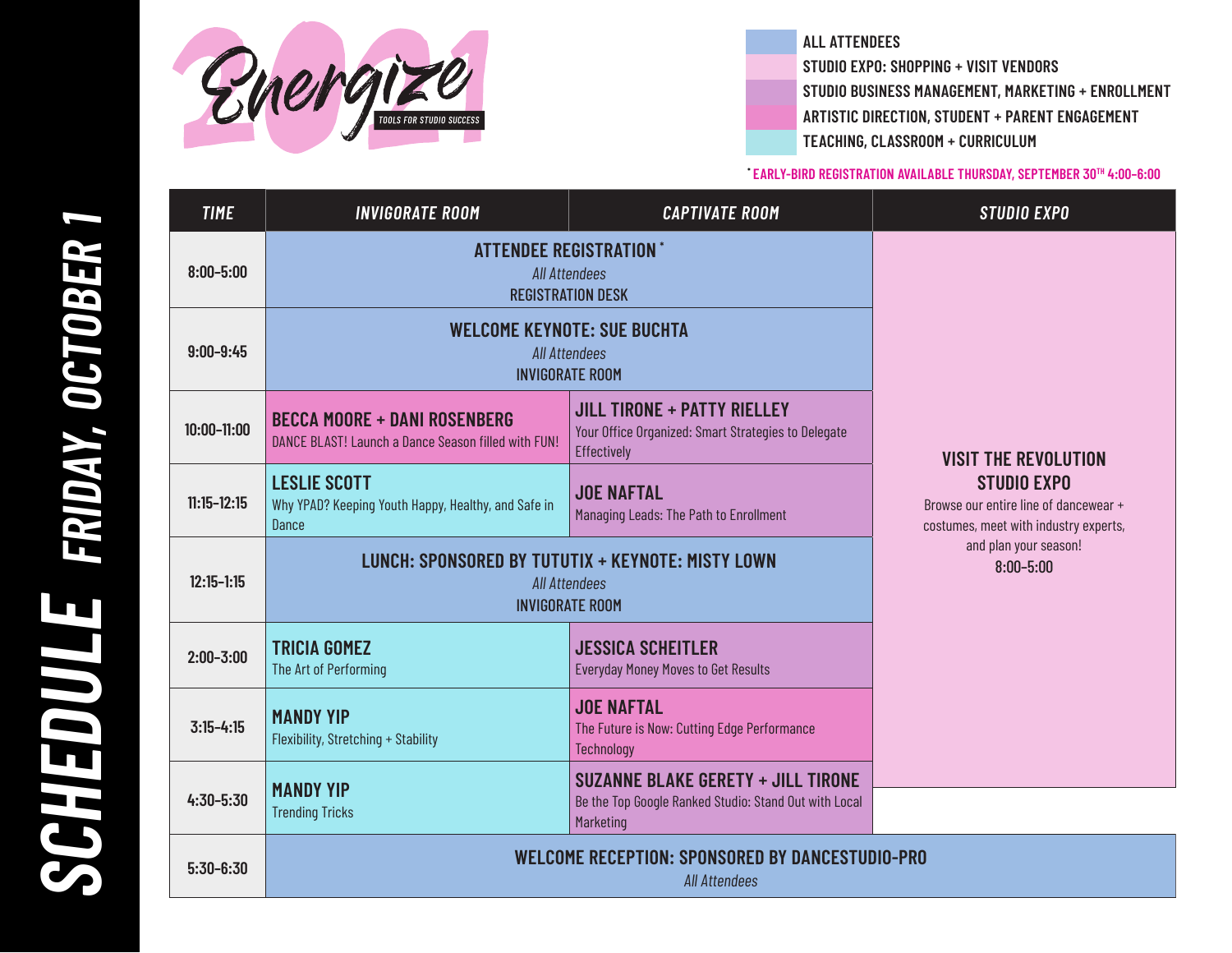

**ALL ATTENDEES STUDIO EXPO: SHOPPING + VISIT VENDORSSTUDIO BUSINESS MANAGEMENT, MARKETING + ENROLLMENT ARTISTIC DIRECTION, STUDENT + PARENT ENGAGEMENT TEACHING, CLASSROOM + CURRICULUM**

## **\* EARLY-BIRD REGISTRATION AVAILABLE THURSDAY, SEPTEMBER 30TH 4:00–6:00**

| <b>TIME</b>     | <b>INVIGORATE ROOM</b>                                                                              | <b>CAPTIVATE ROOM</b>                                                                                           | <b>STUDIO EXPO</b>                                                                                   |
|-----------------|-----------------------------------------------------------------------------------------------------|-----------------------------------------------------------------------------------------------------------------|------------------------------------------------------------------------------------------------------|
| $8:00 - 5:00$   | <b>ATTENDEE REGISTRATION</b><br>All Attendees<br><b>REGISTRATION DESK</b>                           |                                                                                                                 |                                                                                                      |
| $9:00 - 9:45$   | <b>WELCOME KEYNOTE: SUE BUCHTA</b><br><b>All Attendees</b><br><b>INVIGORATE ROOM</b>                |                                                                                                                 |                                                                                                      |
| $10:00 - 11:00$ | <b>BECCA MOORE + DANI ROSENBERG</b><br>DANCE BLAST! Launch a Dance Season filled with FUN!          | <b>JILL TIRONE + PATTY RIELLEY</b><br>Your Office Organized: Smart Strategies to Delegate<br>Effectively        | <b>VISIT THE REVOLUTION</b>                                                                          |
| $11:15 - 12:15$ | <b>LESLIE SCOTT</b><br>Why YPAD? Keeping Youth Happy, Healthy, and Safe in<br><b>Dance</b>          | <b>JOE NAFTAL</b><br>Managing Leads: The Path to Enrollment                                                     | <b>STUDIO EXPO</b><br>Browse our entire line of dancewear +<br>costumes, meet with industry experts, |
| $12:15 - 1:15$  | LUNCH: SPONSORED BY TUTUTIX + KEYNOTE: MISTY LOWN<br><b>All Attendees</b><br><b>INVIGORATE ROOM</b> |                                                                                                                 | and plan your season!<br>$8:00 - 5:00$                                                               |
| $2:00 - 3:00$   | <b>TRICIA GOMEZ</b><br>The Art of Performing                                                        | <b>JESSICA SCHEITLER</b><br><b>Everyday Money Moves to Get Results</b>                                          |                                                                                                      |
| $3:15-4:15$     | <b>MANDY YIP</b><br>Flexibility, Stretching + Stability                                             | <b>JOE NAFTAL</b><br>The Future is Now: Cutting Edge Performance<br>Technology                                  |                                                                                                      |
| $4:30 - 5:30$   | <b>MANDY YIP</b><br><b>Trending Tricks</b>                                                          | <b>SUZANNE BLAKE GERETY + JILL TIRONE</b><br>Be the Top Google Ranked Studio: Stand Out with Local<br>Marketing |                                                                                                      |
| $5:30-6:30$     | <b>WELCOME RECEPTION: SPONSORED BY DANCESTUDIO-PRO</b><br><b>All Attendees</b>                      |                                                                                                                 |                                                                                                      |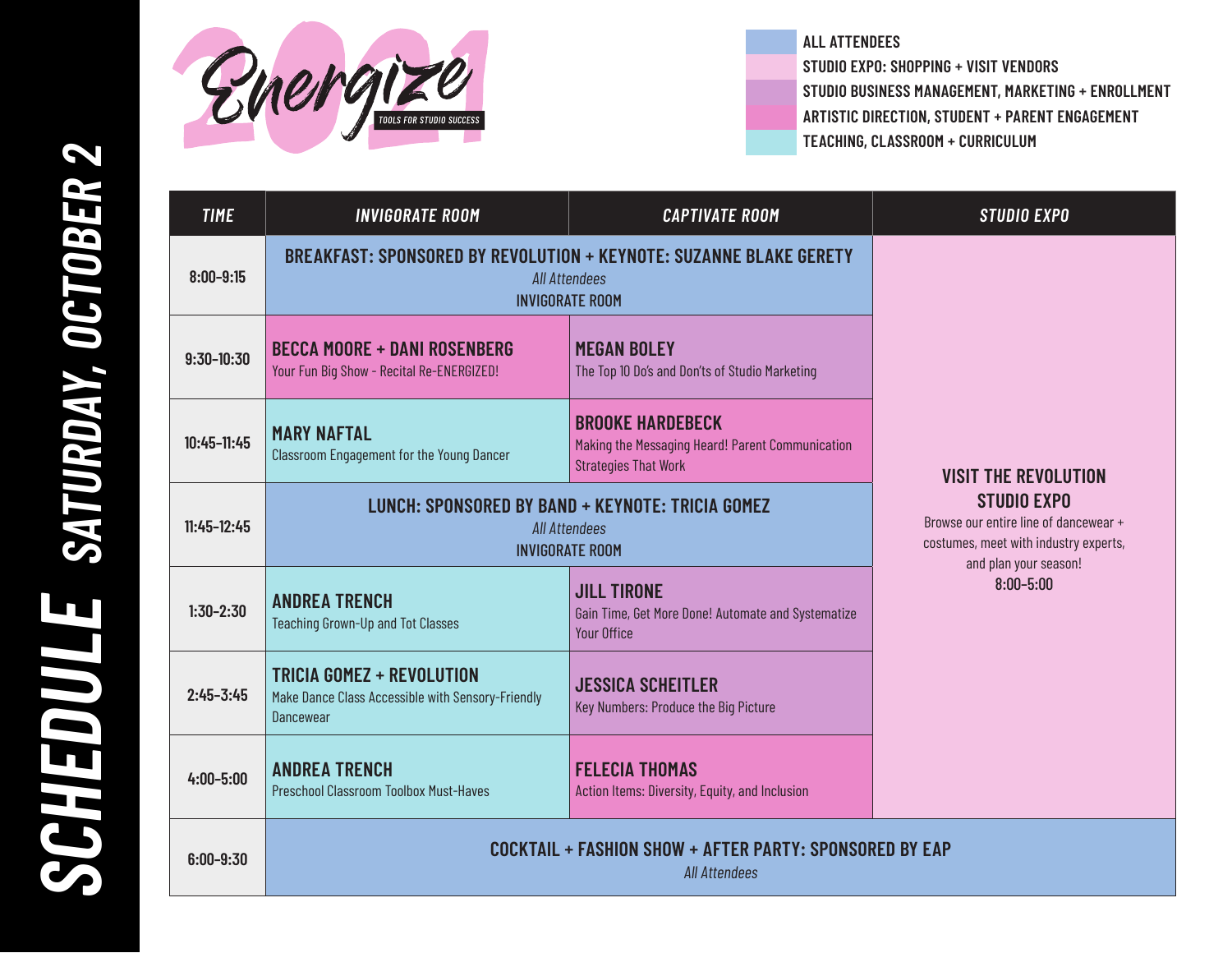

**ALL ATTENDEES STUDIO EXPO: SHOPPING + VISIT VENDORSSTUDIO BUSINESS MANAGEMENT, MARKETING + ENROLLMENT ARTISTIC DIRECTION, STUDENT + PARENT ENGAGEMENT TEACHING, CLASSROOM + CURRICULUM**

|                 |                                                                                                                             | LAVIIIIIV, VLAVVIIVUIT · VUIIIIIVULUII                                                                     |                                                                                                                               |
|-----------------|-----------------------------------------------------------------------------------------------------------------------------|------------------------------------------------------------------------------------------------------------|-------------------------------------------------------------------------------------------------------------------------------|
| <b>TIME</b>     | <b>INVIGORATE ROOM</b>                                                                                                      | <b>CAPTIVATE ROOM</b>                                                                                      | <b>STUDIO EXPO</b>                                                                                                            |
| $8:00 - 9:15$   | <b>BREAKFAST: SPONSORED BY REVOLUTION + KEYNOTE: SUZANNE BLAKE GERETY</b><br><b>All Attendees</b><br><b>INVIGORATE ROOM</b> |                                                                                                            |                                                                                                                               |
| $9:30-10:30$    | <b>BECCA MOORE + DANI ROSENBERG</b><br>Your Fun Big Show - Recital Re-ENERGIZED!                                            | <b>MEGAN BOLEY</b><br>The Top 10 Do's and Don'ts of Studio Marketing                                       |                                                                                                                               |
| $10:45 - 11:45$ | <b>MARY NAFTAL</b><br>Classroom Engagement for the Young Dancer                                                             | <b>BROOKE HARDEBECK</b><br>Making the Messaging Heard! Parent Communication<br><b>Strategies That Work</b> | <b>VISIT THE REVOLUTION</b>                                                                                                   |
| $11:45-12:45$   | LUNCH: SPONSORED BY BAND + KEYNOTE: TRICIA GOMEZ<br><b>All Attendees</b><br><b>INVIGORATE ROOM</b>                          |                                                                                                            | <b>STUDIO EXPO</b><br>Browse our entire line of dancewear +<br>costumes, meet with industry experts,<br>and plan your season! |
| $1:30-2:30$     | <b>ANDREA TRENCH</b><br>Teaching Grown-Up and Tot Classes                                                                   | <b>JILL TIRONE</b><br>Gain Time, Get More Done! Automate and Systematize<br>Your Office                    | $8:00 - 5:00$                                                                                                                 |
| $2:45 - 3:45$   | TRICIA GOMEZ + REVOLUTION<br>Make Dance Class Accessible with Sensory-Friendly<br>Dancewear                                 | <b>JESSICA SCHEITLER</b><br>Key Numbers: Produce the Big Picture                                           |                                                                                                                               |
| $4:00 - 5:00$   | <b>ANDREA TRENCH</b><br><b>Preschool Classroom Toolbox Must-Haves</b>                                                       | <b>FELECIA THOMAS</b><br>Action Items: Diversity, Equity, and Inclusion                                    |                                                                                                                               |
| $6:00 - 9:30$   |                                                                                                                             | <b>COCKTAIL + FASHION SHOW + AFTER PARTY: SPONSORED BY EAP</b><br><b>All Attendees</b>                     |                                                                                                                               |